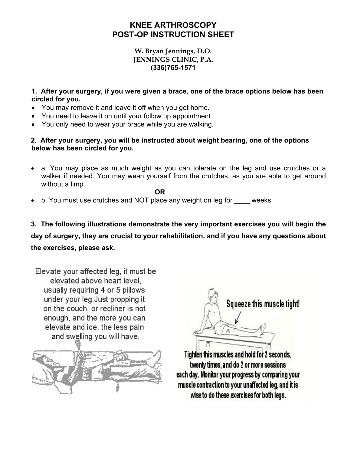## **KNEE ARTHROSCOPY POST-OP INSTRUCTION SHEET**

## **W. Bryan Jennings, D.O. JENNINGS CLINIC, P.A. (336)765-1571**

**1. After your surgery, if you were given a brace, one of the brace options below has been circled for you.** 

- You may remove it and leave it off when you get home.
- You need to leave it on until your follow up appointment.
- You only need to wear your brace while you are walking.

**2. After your surgery, you will be instructed about weight bearing, one of the options below has been circled for you.** 

a. You may place as much weight as you can tolerate on the leg and use crutches or a walker if needed. You may wean yourself from the crutches, as you are able to get around without a limp.

**OR** 

- b. You must use crutches and NOT place any weight on leg for \_\_\_\_ weeks.
- **3. The following illustrations demonstrate the very important exercises you will begin the day of surgery, they are crucial to your rehabilitation, and if you have any questions about the exercises, please ask.**

Elevate your affected leg, it must be elevated above heart level. usually requiring 4 or 5 pillows under your leg. Just propping it on the couch, or recliner is not enough, and the more you can elevate and ice, the less pain and swelling you will have.





Tighten this muscles and hold for 2 seconds, twenty times, and do 2 or more sessions each day. Monitor your progress by comparing your muscle contraction to your unaffected leg, and it is wise to do these exercises for both legs.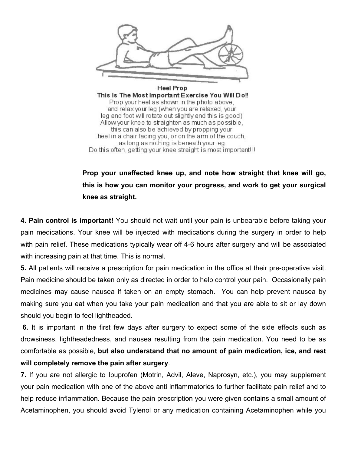

**Heel Prop** This Is The Most Important Exercise You Will Do!! Prop your heel as shown in the photo above, and relax your leg (when you are relaxed, your leg and foot will rotate out slightly and this is good) Allow your knee to straighten as much as possible, this can also be achieved by propping your heel in a chair facing you, or on the arm of the couch, as long as nothing is beneath your leg. Do this often, getting your knee straight is most important!!!

## **Prop your unaffected knee up, and note how straight that knee will go, this is how you can monitor your progress, and work to get your surgical knee as straight.**

**4. Pain control is important!** You should not wait until your pain is unbearable before taking your pain medications. Your knee will be injected with medications during the surgery in order to help with pain relief. These medications typically wear off 4-6 hours after surgery and will be associated with increasing pain at that time. This is normal.

**5.** All patients will receive a prescription for pain medication in the office at their pre-operative visit. Pain medicine should be taken only as directed in order to help control your pain. Occasionally pain medicines may cause nausea if taken on an empty stomach. You can help prevent nausea by making sure you eat when you take your pain medication and that you are able to sit or lay down should you begin to feel lightheaded.

 **6.** It is important in the first few days after surgery to expect some of the side effects such as drowsiness, lightheadedness, and nausea resulting from the pain medication. You need to be as comfortable as possible, **but also understand that no amount of pain medication, ice, and rest will completely remove the pain after surgery**.

**7.** If you are not allergic to Ibuprofen (Motrin, Advil, Aleve, Naprosyn, etc.), you may supplement your pain medication with one of the above anti inflammatories to further facilitate pain relief and to help reduce inflammation. Because the pain prescription you were given contains a small amount of Acetaminophen, you should avoid Tylenol or any medication containing Acetaminophen while you